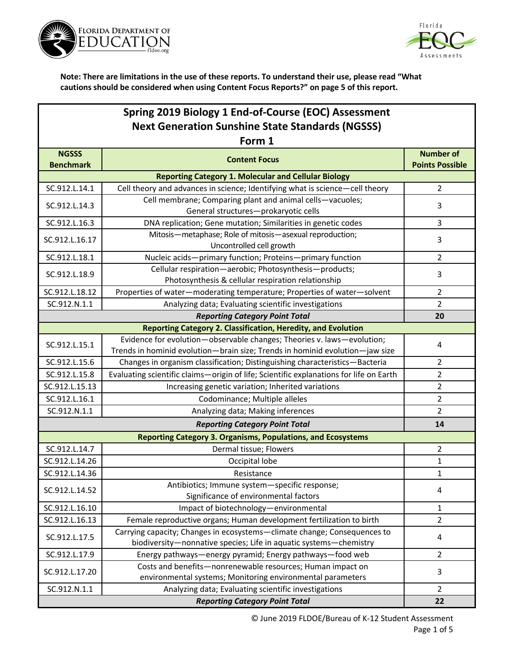



| Spring 2019 Biology 1 End-of-Course (EOC) Assessment    |                                                                                                                                                        |                        |  |  |
|---------------------------------------------------------|--------------------------------------------------------------------------------------------------------------------------------------------------------|------------------------|--|--|
| <b>Next Generation Sunshine State Standards (NGSSS)</b> |                                                                                                                                                        |                        |  |  |
| Form 1                                                  |                                                                                                                                                        |                        |  |  |
| <b>NGSSS</b>                                            | <b>Content Focus</b>                                                                                                                                   | <b>Number of</b>       |  |  |
| <b>Benchmark</b>                                        |                                                                                                                                                        | <b>Points Possible</b> |  |  |
|                                                         | <b>Reporting Category 1. Molecular and Cellular Biology</b>                                                                                            | $\overline{2}$         |  |  |
| SC.912.L.14.1                                           | Cell theory and advances in science; Identifying what is science-cell theory                                                                           |                        |  |  |
| SC.912.L.14.3                                           | Cell membrane; Comparing plant and animal cells-vacuoles;<br>General structures-prokaryotic cells                                                      | 3                      |  |  |
| SC.912.L.16.3                                           | DNA replication; Gene mutation; Similarities in genetic codes                                                                                          | 3                      |  |  |
| SC.912.L.16.17                                          | Mitosis-metaphase; Role of mitosis-asexual reproduction;<br>Uncontrolled cell growth                                                                   | 3                      |  |  |
| SC.912.L.18.1                                           | Nucleic acids-primary function; Proteins-primary function                                                                                              | $\overline{2}$         |  |  |
|                                                         | Cellular respiration-aerobic; Photosynthesis-products;                                                                                                 |                        |  |  |
| SC.912.L.18.9                                           | Photosynthesis & cellular respiration relationship                                                                                                     | 3                      |  |  |
| SC.912.L.18.12                                          | Properties of water-moderating temperature; Properties of water-solvent                                                                                | $\overline{2}$         |  |  |
| SC.912.N.1.1                                            | Analyzing data; Evaluating scientific investigations                                                                                                   | $\overline{2}$         |  |  |
|                                                         | <b>Reporting Category Point Total</b>                                                                                                                  | 20                     |  |  |
|                                                         | Reporting Category 2. Classification, Heredity, and Evolution                                                                                          |                        |  |  |
| SC.912.L.15.1                                           | Evidence for evolution-observable changes; Theories v. laws-evolution;<br>Trends in hominid evolution-brain size; Trends in hominid evolution-jaw size | 4                      |  |  |
| SC.912.L.15.6                                           | Changes in organism classification; Distinguishing characteristics-Bacteria                                                                            | $\overline{2}$         |  |  |
| SC.912.L.15.8                                           | Evaluating scientific claims-origin of life; Scientific explanations for life on Earth                                                                 | $\overline{2}$         |  |  |
| SC.912.L.15.13                                          | Increasing genetic variation; Inherited variations                                                                                                     | $\overline{2}$         |  |  |
| SC.912.L.16.1                                           | Codominance; Multiple alleles                                                                                                                          | $\overline{2}$         |  |  |
| SC.912.N.1.1                                            | Analyzing data; Making inferences                                                                                                                      | $\overline{2}$         |  |  |
|                                                         | <b>Reporting Category Point Total</b>                                                                                                                  | 14                     |  |  |
|                                                         | <b>Reporting Category 3. Organisms, Populations, and Ecosystems</b>                                                                                    |                        |  |  |
| SC.912.L.14.7                                           | Dermal tissue; Flowers                                                                                                                                 | $\overline{2}$         |  |  |
| SC.912.L.14.26                                          | Occipital lobe                                                                                                                                         | $\mathbf{1}$           |  |  |
| SC.912.L.14.36                                          | Resistance                                                                                                                                             | $\mathbf{1}$           |  |  |
| SC.912.L.14.52                                          | Antibiotics; Immune system-specific response;<br>Significance of environmental factors                                                                 | 4                      |  |  |
| SC.912.L.16.10                                          | Impact of biotechnology-environmental                                                                                                                  | 1                      |  |  |
| SC.912.L.16.13                                          | Female reproductive organs; Human development fertilization to birth                                                                                   | $\overline{2}$         |  |  |
| SC.912.L.17.5                                           | Carrying capacity; Changes in ecosystems-climate change; Consequences to<br>biodiversity-nonnative species; Life in aquatic systems-chemistry          | 4                      |  |  |
| SC.912.L.17.9                                           | Energy pathways-energy pyramid; Energy pathways-food web                                                                                               | $\overline{2}$         |  |  |
| SC.912.L.17.20                                          | Costs and benefits-nonrenewable resources; Human impact on<br>environmental systems; Monitoring environmental parameters                               | 3                      |  |  |
| SC.912.N.1.1                                            | Analyzing data; Evaluating scientific investigations                                                                                                   | $\overline{2}$         |  |  |
|                                                         | <b>Reporting Category Point Total</b>                                                                                                                  | 22                     |  |  |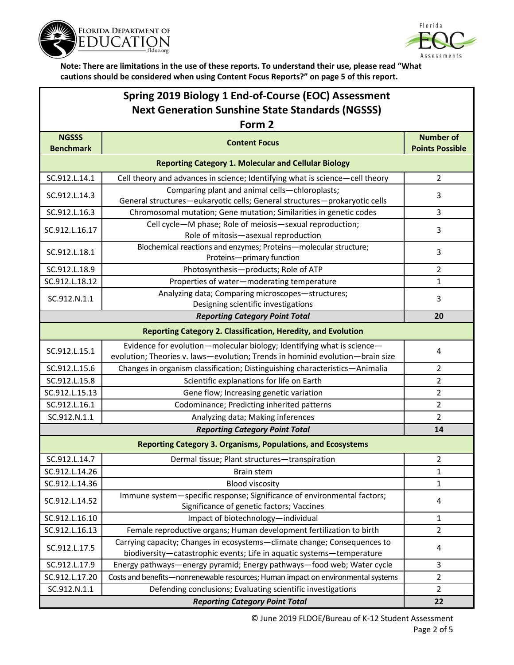



## **Spring 2019 Biology 1 End-of-Course (EOC) Assessment Next Generation Sunshine State Standards (NGSSS)**

| Form 2                                                      |                                                                                                                                                         |                                            |  |  |
|-------------------------------------------------------------|---------------------------------------------------------------------------------------------------------------------------------------------------------|--------------------------------------------|--|--|
| <b>NGSSS</b><br><b>Benchmark</b>                            | <b>Content Focus</b>                                                                                                                                    | <b>Number of</b><br><b>Points Possible</b> |  |  |
| <b>Reporting Category 1. Molecular and Cellular Biology</b> |                                                                                                                                                         |                                            |  |  |
| SC.912.L.14.1                                               | Cell theory and advances in science; Identifying what is science-cell theory                                                                            | $\overline{2}$                             |  |  |
| SC.912.L.14.3                                               | Comparing plant and animal cells-chloroplasts;<br>General structures-eukaryotic cells; General structures-prokaryotic cells                             | 3                                          |  |  |
| SC.912.L.16.3                                               | Chromosomal mutation; Gene mutation; Similarities in genetic codes                                                                                      | 3                                          |  |  |
| SC.912.L.16.17                                              | Cell cycle-M phase; Role of meiosis-sexual reproduction;<br>Role of mitosis-asexual reproduction                                                        | 3                                          |  |  |
| SC.912.L.18.1                                               | Biochemical reactions and enzymes; Proteins-molecular structure;<br>Proteins-primary function                                                           | 3                                          |  |  |
| SC.912.L.18.9                                               | Photosynthesis-products; Role of ATP                                                                                                                    | 2                                          |  |  |
| SC.912.L.18.12                                              | Properties of water-moderating temperature                                                                                                              | $\mathbf{1}$                               |  |  |
| SC.912.N.1.1                                                | Analyzing data; Comparing microscopes-structures;<br>Designing scientific investigations                                                                | 3                                          |  |  |
|                                                             | <b>Reporting Category Point Total</b>                                                                                                                   | 20                                         |  |  |
|                                                             | <b>Reporting Category 2. Classification, Heredity, and Evolution</b>                                                                                    |                                            |  |  |
| SC.912.L.15.1                                               | Evidence for evolution-molecular biology; Identifying what is science-<br>evolution; Theories v. laws-evolution; Trends in hominid evolution-brain size | 4                                          |  |  |
| SC.912.L.15.6                                               | Changes in organism classification; Distinguishing characteristics-Animalia                                                                             | $\overline{2}$                             |  |  |
| SC.912.L.15.8                                               | Scientific explanations for life on Earth                                                                                                               | $\overline{2}$                             |  |  |
| SC.912.L.15.13                                              | Gene flow; Increasing genetic variation                                                                                                                 | 2                                          |  |  |
| SC.912.L.16.1                                               | Codominance; Predicting inherited patterns                                                                                                              | 2                                          |  |  |
| SC.912.N.1.1                                                | Analyzing data; Making inferences                                                                                                                       | $\overline{2}$                             |  |  |
|                                                             | <b>Reporting Category Point Total</b>                                                                                                                   | 14                                         |  |  |
|                                                             | <b>Reporting Category 3. Organisms, Populations, and Ecosystems</b>                                                                                     |                                            |  |  |
| SC.912.L.14.7                                               | Dermal tissue; Plant structures-transpiration                                                                                                           | $\overline{2}$                             |  |  |
| SC.912.L.14.26                                              | <b>Brain stem</b>                                                                                                                                       | $\mathbf{1}$                               |  |  |
| SC.912.L.14.36                                              | <b>Blood viscosity</b>                                                                                                                                  | 1                                          |  |  |
| SC.912.L.14.52                                              | Immune system-specific response; Significance of environmental factors;<br>Significance of genetic factors; Vaccines                                    | 4                                          |  |  |
| SC.912.L.16.10                                              | Impact of biotechnology-individual                                                                                                                      | $\mathbf{1}$                               |  |  |
| SC.912.L.16.13                                              | Female reproductive organs; Human development fertilization to birth                                                                                    | $\overline{2}$                             |  |  |
| SC.912.L.17.5                                               | Carrying capacity; Changes in ecosystems-climate change; Consequences to<br>biodiversity-catastrophic events; Life in aquatic systems-temperature       | 4                                          |  |  |
| SC.912.L.17.9                                               | Energy pathways-energy pyramid; Energy pathways-food web; Water cycle                                                                                   | 3                                          |  |  |
| SC.912.L.17.20                                              | Costs and benefits-nonrenewable resources; Human impact on environmental systems                                                                        | $\overline{2}$                             |  |  |
| SC.912.N.1.1                                                | Defending conclusions; Evaluating scientific investigations                                                                                             | $\overline{2}$                             |  |  |
| <b>Reporting Category Point Total</b>                       |                                                                                                                                                         | 22                                         |  |  |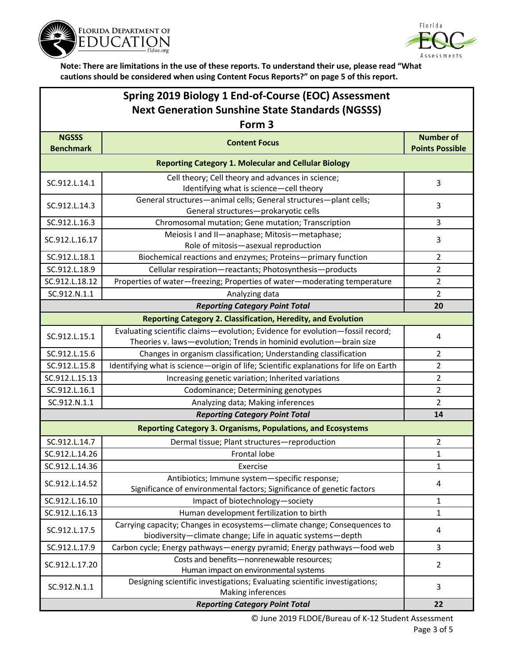



| Spring 2019 Biology 1 End-of-Course (EOC) Assessment    |
|---------------------------------------------------------|
| <b>Next Generation Sunshine State Standards (NGSSS)</b> |

| Form 3                                                              |                                                                                                                                                     |                                            |  |  |
|---------------------------------------------------------------------|-----------------------------------------------------------------------------------------------------------------------------------------------------|--------------------------------------------|--|--|
| <b>NGSSS</b><br><b>Benchmark</b>                                    | <b>Content Focus</b>                                                                                                                                | <b>Number of</b><br><b>Points Possible</b> |  |  |
|                                                                     | <b>Reporting Category 1. Molecular and Cellular Biology</b>                                                                                         |                                            |  |  |
| SC.912.L.14.1                                                       | Cell theory; Cell theory and advances in science;<br>Identifying what is science-cell theory                                                        | 3                                          |  |  |
| SC.912.L.14.3                                                       | General structures-animal cells; General structures-plant cells;<br>General structures-prokaryotic cells                                            | 3                                          |  |  |
| SC.912.L.16.3                                                       | Chromosomal mutation; Gene mutation; Transcription                                                                                                  | 3                                          |  |  |
| SC.912.L.16.17                                                      | Meiosis I and II-anaphase; Mitosis-metaphase;<br>Role of mitosis-asexual reproduction                                                               | 3                                          |  |  |
| SC.912.L.18.1                                                       | Biochemical reactions and enzymes; Proteins-primary function                                                                                        | $\overline{2}$                             |  |  |
| SC.912.L.18.9                                                       | Cellular respiration-reactants; Photosynthesis-products                                                                                             | $\overline{2}$                             |  |  |
| SC.912.L.18.12                                                      | Properties of water-freezing; Properties of water-moderating temperature                                                                            | $\overline{2}$                             |  |  |
| SC.912.N.1.1                                                        | Analyzing data                                                                                                                                      | $\overline{2}$                             |  |  |
|                                                                     | <b>Reporting Category Point Total</b>                                                                                                               | 20                                         |  |  |
|                                                                     | <b>Reporting Category 2. Classification, Heredity, and Evolution</b>                                                                                |                                            |  |  |
| SC.912.L.15.1                                                       | Evaluating scientific claims-evolution; Evidence for evolution-fossil record;<br>Theories v. laws-evolution; Trends in hominid evolution-brain size | 4                                          |  |  |
| SC.912.L.15.6                                                       | Changes in organism classification; Understanding classification                                                                                    | $\overline{2}$                             |  |  |
| SC.912.L.15.8                                                       | Identifying what is science-origin of life; Scientific explanations for life on Earth                                                               | $\overline{2}$                             |  |  |
| SC.912.L.15.13                                                      | Increasing genetic variation; Inherited variations                                                                                                  | $\overline{2}$                             |  |  |
| SC.912.L.16.1                                                       | Codominance; Determining genotypes                                                                                                                  | $\overline{2}$                             |  |  |
| SC.912.N.1.1                                                        | Analyzing data; Making inferences                                                                                                                   | $\overline{2}$                             |  |  |
|                                                                     | <b>Reporting Category Point Total</b>                                                                                                               | 14                                         |  |  |
| <b>Reporting Category 3. Organisms, Populations, and Ecosystems</b> |                                                                                                                                                     |                                            |  |  |
| SC.912.L.14.7                                                       | Dermal tissue; Plant structures-reproduction                                                                                                        | $\overline{2}$                             |  |  |
| SC.912.L.14.26                                                      | Frontal lobe                                                                                                                                        | $\mathbf{1}$                               |  |  |
| SC.912.L.14.36                                                      | Exercise                                                                                                                                            | 1                                          |  |  |
| SC.912.L.14.52                                                      | Antibiotics; Immune system-specific response;<br>Significance of environmental factors; Significance of genetic factors                             | 4                                          |  |  |
| SC.912.L.16.10                                                      | Impact of biotechnology-society                                                                                                                     | 1                                          |  |  |
| SC.912.L.16.13                                                      | Human development fertilization to birth                                                                                                            | 1                                          |  |  |
| SC.912.L.17.5                                                       | Carrying capacity; Changes in ecosystems-climate change; Consequences to<br>biodiversity-climate change; Life in aquatic systems-depth              | 4                                          |  |  |
| SC.912.L.17.9                                                       | Carbon cycle; Energy pathways-energy pyramid; Energy pathways-food web                                                                              | 3                                          |  |  |
| SC.912.L.17.20                                                      | Costs and benefits-nonrenewable resources;<br>Human impact on environmental systems                                                                 | $\overline{2}$                             |  |  |
| SC.912.N.1.1                                                        | Designing scientific investigations; Evaluating scientific investigations;<br>Making inferences                                                     | 3                                          |  |  |
|                                                                     | 22                                                                                                                                                  |                                            |  |  |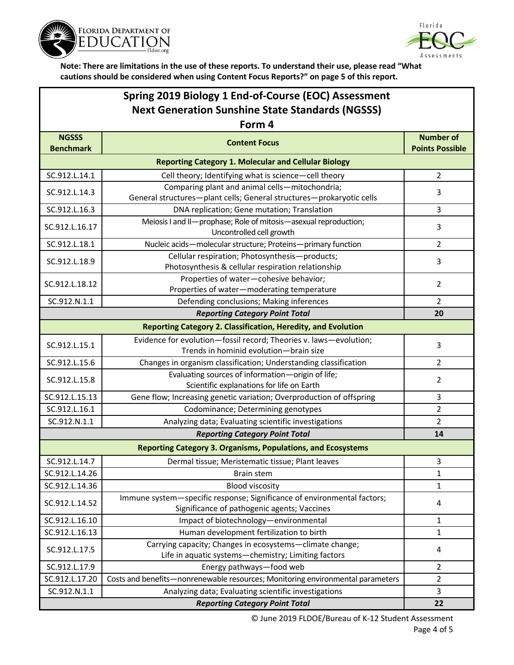



## **Spring 2019 Biology 1 End-of-Course (EOC) Assessment Next Generation Sunshine State Standards (NGSSS)**

| Form 4                           |                                                                                                                        |                                            |  |  |
|----------------------------------|------------------------------------------------------------------------------------------------------------------------|--------------------------------------------|--|--|
| <b>NGSSS</b><br><b>Benchmark</b> | <b>Content Focus</b>                                                                                                   | <b>Number of</b><br><b>Points Possible</b> |  |  |
|                                  | <b>Reporting Category 1. Molecular and Cellular Biology</b>                                                            |                                            |  |  |
| SC.912.L.14.1                    | Cell theory; Identifying what is science-cell theory                                                                   | $\overline{2}$                             |  |  |
| SC.912.L.14.3                    | Comparing plant and animal cells-mitochondria;                                                                         | 3                                          |  |  |
|                                  | General structures-plant cells; General structures-prokaryotic cells                                                   |                                            |  |  |
| SC.912.L.16.3                    | DNA replication; Gene mutation; Translation                                                                            | 3                                          |  |  |
| SC.912.L.16.17                   | Meiosis I and II-prophase; Role of mitosis-asexual reproduction;<br>Uncontrolled cell growth                           | 3                                          |  |  |
| SC.912.L.18.1                    | Nucleic acids-molecular structure; Proteins-primary function                                                           | $\overline{2}$                             |  |  |
| SC.912.L.18.9                    | Cellular respiration; Photosynthesis-products;<br>Photosynthesis & cellular respiration relationship                   | 3                                          |  |  |
|                                  | Properties of water-cohesive behavior;                                                                                 |                                            |  |  |
| SC.912.L.18.12                   | Properties of water-moderating temperature                                                                             | $\overline{2}$                             |  |  |
| SC.912.N.1.1                     | Defending conclusions; Making inferences                                                                               | $\overline{2}$                             |  |  |
|                                  | <b>Reporting Category Point Total</b>                                                                                  | 20                                         |  |  |
|                                  | <b>Reporting Category 2. Classification, Heredity, and Evolution</b>                                                   |                                            |  |  |
| SC.912.L.15.1                    | Evidence for evolution-fossil record; Theories v. laws-evolution;                                                      | 3                                          |  |  |
|                                  | Trends in hominid evolution-brain size                                                                                 |                                            |  |  |
| SC.912.L.15.6                    | Changes in organism classification; Understanding classification                                                       | $\overline{2}$                             |  |  |
| SC.912.L.15.8                    | Evaluating sources of information-origin of life;<br>Scientific explanations for life on Earth                         | $\overline{2}$                             |  |  |
| SC.912.L.15.13                   | Gene flow; Increasing genetic variation; Overproduction of offspring                                                   | 3                                          |  |  |
| SC.912.L.16.1                    | Codominance; Determining genotypes                                                                                     | $\overline{2}$                             |  |  |
| SC.912.N.1.1                     | Analyzing data; Evaluating scientific investigations                                                                   | $\overline{2}$                             |  |  |
|                                  | <b>Reporting Category Point Total</b>                                                                                  | 14                                         |  |  |
|                                  | <b>Reporting Category 3. Organisms, Populations, and Ecosystems</b>                                                    |                                            |  |  |
| SC.912.L.14.7                    | Dermal tissue; Meristematic tissue; Plant leaves                                                                       | 3                                          |  |  |
| SC.912.L.14.26                   | <b>Brain stem</b>                                                                                                      | $\mathbf{1}$                               |  |  |
| SC.912.L.14.36                   | <b>Blood viscosity</b>                                                                                                 | 1                                          |  |  |
| SC.912.L.14.52                   | Immune system-specific response; Significance of environmental factors;<br>Significance of pathogenic agents; Vaccines | 4                                          |  |  |
| SC.912.L.16.10                   | Impact of biotechnology-environmental                                                                                  | 1                                          |  |  |
| SC.912.L.16.13                   | Human development fertilization to birth                                                                               | 1                                          |  |  |
| SC.912.L.17.5                    | Carrying capacity; Changes in ecosystems-climate change;<br>Life in aquatic systems-chemistry; Limiting factors        | 4                                          |  |  |
| SC.912.L.17.9                    | Energy pathways-food web                                                                                               | $\overline{2}$                             |  |  |
| SC.912.L.17.20                   | Costs and benefits-nonrenewable resources; Monitoring environmental parameters                                         | $\overline{2}$                             |  |  |
| SC.912.N.1.1                     | Analyzing data; Evaluating scientific investigations                                                                   | 3                                          |  |  |
|                                  | <b>Reporting Category Point Total</b>                                                                                  | 22                                         |  |  |